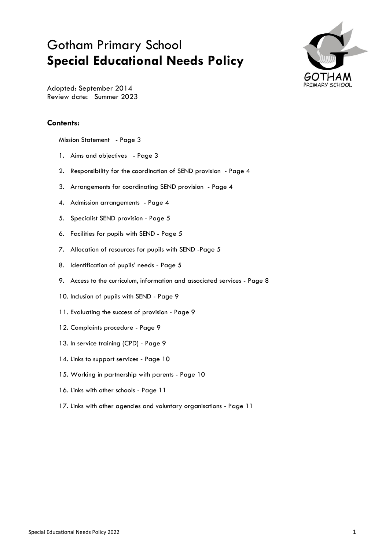# Gotham Primary School **Special Educational Needs Policy**



Adopted: September 2014 Review date: Summer 2023

### **Contents:**

Mission Statement - Page 3

- 1. Aims and objectives Page 3
- 2. Responsibility for the coordination of SEND provision Page 4
- 3. Arrangements for coordinating SEND provision Page 4
- 4. Admission arrangements Page 4
- 5. Specialist SEND provision Page 5
- 6. Facilities for pupils with SEND Page 5
- 7. Allocation of resources for pupils with SEND -Page 5
- 8. Identification of pupils' needs Page 5
- 9. Access to the curriculum, information and associated services Page 8
- 10. Inclusion of pupils with SEND Page 9
- 11. Evaluating the success of provision Page 9
- 12. Complaints procedure Page 9
- 13. In service training (CPD) Page 9
- 14. Links to support services Page 10
- 15. Working in partnership with parents Page 10
- 16. Links with other schools Page 11
- 17. Links with other agencies and voluntary organisations Page 11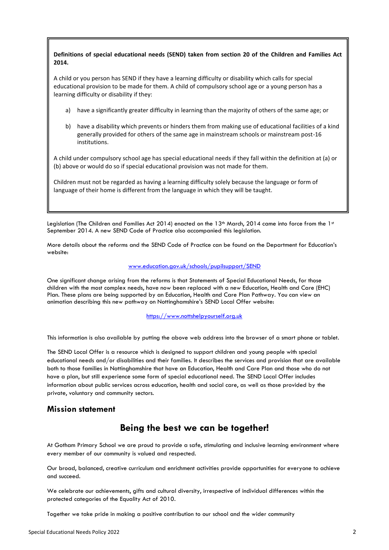### **Definitions of special educational needs (SEND) taken from section 20 of the Children and Families Act 2014.**

A child or you person has SEND if they have a learning difficulty or disability which calls for special educational provision to be made for them. A child of compulsory school age or a young person has a learning difficulty or disability if they:

- a) have a significantly greater difficulty in learning than the majority of others of the same age; or
- b) have a disability which prevents or hinders them from making use of educational facilities of a kind generally provided for others of the same age in mainstream schools or mainstream post-16 institutions.

A child under compulsory school age has special educational needs if they fall within the definition at (a) or (b) above or would do so if special educational provision was not made for them.

Children must not be regarded as having a learning difficulty solely because the language or form of language of their home is different from the language in which they will be taught.

Legislation (The Children and Families Act 2014) enacted on the 13<sup>th</sup> March, 2014 came into force from the 1<sup>st</sup> September 2014. A new SEND Code of Practice also accompanied this legislation.

More details about the reforms and the SEND Code of Practice can be found on the Department for Education's website:

#### [www.education.gov.uk/schools/pupilsupport/SEND](http://www.education.gov.uk/schools/pupilsupport/sen)

One significant change arising from the reforms is that Statements of Special Educational Needs, for those children with the most complex needs, have now been replaced with a new Education, Health and Care (EHC) Plan. These plans are being supported by an Education, Health and Care Plan Pathway. You can view an animation describing this new pathway on Nottinghamshire's SEND Local Offer website:

[https://www.nottshelpyourself.org.uk](https://www.nottshelpyourself.org.uk/)

This information is also available by putting the above web address into the browser of a smart phone or tablet.

The SEND Local Offer is a resource which is designed to support children and young people with special educational needs and/or disabilities and their families. It describes the services and provision that are available both to those families in Nottinghamshire that have an Education, Health and Care Plan and those who do not have a plan, but still experience some form of special educational need. The SEND Local Offer includes information about public services across education, health and social care, as well as those provided by the private, voluntary and community sectors.

### **Mission statement**

# **Being the best we can be together!**

At Gotham Primary School we are proud to provide a safe, stimulating and inclusive learning environment where every member of our community is valued and respected.

Our broad, balanced, creative curriculum and enrichment activities provide opportunities for everyone to achieve and succeed.

We celebrate our achievements, gifts and cultural diversity, irrespective of individual differences within the protected categories of the Equality Act of 2010.

Together we take pride in making a positive contribution to our school and the wider community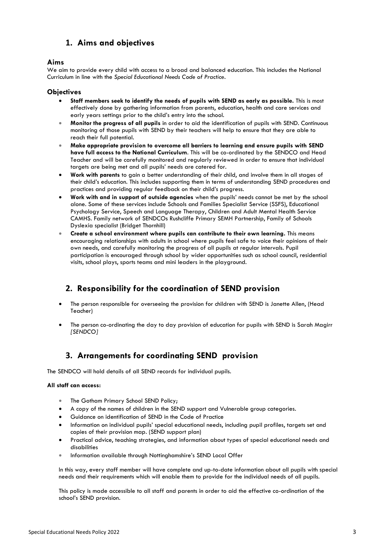# **1. Aims and objectives**

### **Aims**

We aim to provide every child with access to a broad and balanced education. This includes the National Curriculum in line with the *Special Educational Needs Code of Practice*.

#### **Objectives**

- **Staff members seek to identify the needs of pupils with SEND as early as possible.** This is most effectively done by gathering information from parents, education, health and care services and early years settings prior to the child's entry into the school.
- **Monitor the progress of all pupils** in order to aid the identification of pupils with SEND. Continuous monitoring of those pupils with SEND by their teachers will help to ensure that they are able to reach their full potential.
- **Make appropriate provision to overcome all barriers to learning and ensure pupils with SEND have full access to the National Curriculum**. This will be co-ordinated by the SENDCO and Head Teacher and will be carefully monitored and regularly reviewed in order to ensure that individual targets are being met and all pupils' needs are catered for.
- **Work with parents** to gain a better understanding of their child, and involve them in all stages of their child's education. This includes supporting them in terms of understanding SEND procedures and practices and providing regular feedback on their child's progress.
- **Work with and in support of outside agencies** when the pupils' needs cannot be met by the school alone. Some of these services include Schools and Families Specialist Service (SSFS), Educational Psychology Service, Speech and Language Therapy, Children and Adult Mental Health Service CAMHS. Family network of SENDCOs Rushcliffe Primary SEMH Partnership, Family of Schools Dyslexia specialist (Bridget Thornhill)
- **Create a school environment where pupils can contribute to their own learning.** This means encouraging relationships with adults in school where pupils feel safe to voice their opinions of their own needs, and carefully monitoring the progress of all pupils at regular intervals. Pupil participation is encouraged through school by wider opportunities such as school council, residential visits, school plays, sports teams and mini leaders in the playground.

# **2. Responsibility for the coordination of SEND provision**

- The person responsible for overseeing the provision for children with SEND is Janette Allen, (Head Teacher)
- The person co-ordinating the day to day provision of education for pupils with SEND is Sarah Magirr *[SENDCO]*

# **3. Arrangements for coordinating SEND provision**

The SENDCO will hold details of all SEND records for individual pupils.

#### **All staff can access:**

- The Gotham Primary School SEND Policy;
- A copy of the names of children in the SEND support and Vulnerable group categories.
- Guidance on identification of SEND in the Code of Practice
- Information on individual pupils' special educational needs, including pupil profiles, targets set and copies of their provision map. (SEND support plan)
- Practical advice, teaching strategies, and information about types of special educational needs and disabilities
- **Information available through Nottinghamshire's SEND Local Offer**

In this way, every staff member will have complete and up-to-date information about all pupils with special needs and their requirements which will enable them to provide for the individual needs of all pupils.

This policy is made accessible to all staff and parents in order to aid the effective co-ordination of the school's SEND provision.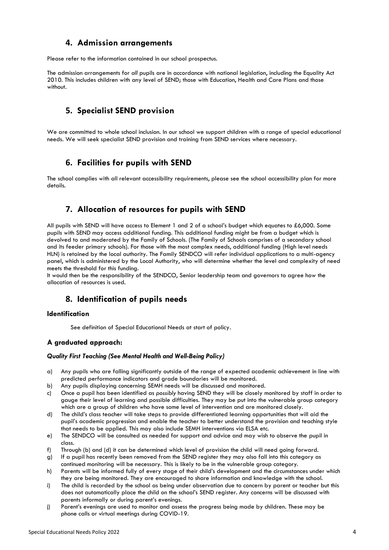### **4. Admission arrangements**

Please refer to the information contained in our school prospectus.

The admission arrangements for *all* pupils are in accordance with national legislation, including the Equality Act 2010*.* This includes children with any level of SEND; those with Education, Health and Care Plans and those without.

# **5. Specialist SEND provision**

We are committed to whole school inclusion. In our school we support children with a range of special educational needs. We will seek specialist SEND provision and training from SEND services where necessary.

### **6. Facilities for pupils with SEND**

The school complies with all relevant accessibility requirements, please see the school accessibility plan for more details.

### **7. Allocation of resources for pupils with SEND**

All pupils with SEND will have access to Element 1 and 2 of a school's budget which equates to £6,000. Some pupils with SEND may access additional funding. This additional funding might be from a budget which is devolved to and moderated by the Family of Schools. (The Family of Schools comprises of a secondary school and its feeder primary schools). For those with the most complex needs, additional funding (High level needs HLN) is retained by the local authority. The Family SENDCO will refer individual applications to a multi-agency panel, which is administered by the Local Authority, who will determine whether the level and complexity of need meets the threshold for this funding.

It would then be the responsibility of the SENDCO, Senior leadership team and governors to agree how the allocation of resources is used.

### **8. Identification of pupils needs**

### **Identification**

See definition of Special Educational Needs at start of policy.

### **A graduated approach:**

#### *Quality First Teaching (See Mental Health and Well-Being Policy)*

- a) Any pupils who are falling significantly outside of the range of expected academic achievement in line with predicted performance indicators and grade boundaries will be monitored.
- b) Any pupils displaying concerning SEMH needs will be discussed and monitored.
- c) Once a pupil has been identified as *possibly* having SEND they will be closely monitored by staff in order to gauge their level of learning and possible difficulties. They may be put into the vulnerable group category which are a group of children who have some level of intervention and are monitored closely.
- d) The child's class teacher will take steps to provide differentiated learning opportunities that will aid the pupil's academic progression and enable the teacher to better understand the provision and teaching style that needs to be applied. This may also include SEMH interventions via ELSA etc.
- e) The SENDCO will be consulted as needed for support and advice and may wish to observe the pupil in class.
- f) Through (b) and (d) it can be determined which level of provision the child will need going forward.
- g) If a pupil has recently been removed from the SEND register they may also fall into this category as continued monitoring will be necessary. This is likely to be in the vulnerable group category.
- h) Parents will be informed fully of every stage of their child's development and the circumstances under which they are being monitored. They are encouraged to share information and knowledge with the school.
- i) The child is recorded by the school as being under observation due to concern by parent or teacher but this does not automatically place the child on the school's SEND register. Any concerns will be discussed with parents informally or during parent's evenings.
- j) Parent's evenings are used to monitor and assess the progress being made by children. These may be phone calls or virtual meetings during COVID-19.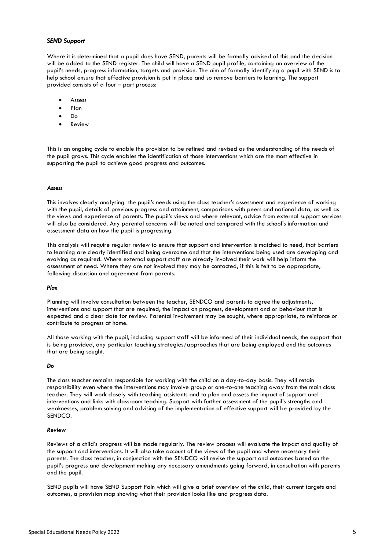#### *SEND Support*

Where it is determined that a pupil does have SEND, parents will be formally advised of this and the decision will be added to the SEND register. The child will have a SEND pupil profile, containing an overview of the pupil's needs, progress information, targets and provision. The aim of formally identifying a pupil with SEND is to help school ensure that effective provision is put in place and so remove barriers to learning. The support provided consists of a four – part process:

- $A$ ssess
- Plan
- Do
- Review

This is an ongoing cycle to enable the provision to be refined and revised as the understanding of the needs of the pupil grows. This cycle enables the identification of those interventions which are the most effective in supporting the pupil to achieve good progress and outcomes.

#### *Assess*

This involves clearly analysing the pupil's needs using the class teacher's assessment and experience of working with the pupil, details of previous progress and attainment, comparisons with peers and national data, as well as the views and experience of parents. The pupil's views and where relevant, advice from external support services will also be considered. Any parental concerns will be noted and compared with the school's information and assessment data on how the pupil is progressing.

This analysis will require regular review to ensure that support and intervention is matched to need, that barriers to learning are clearly identified and being overcome and that the interventions being used are developing and evolving as required. Where external support staff are already involved their work will help inform the assessment of need. Where they are not involved they may be contacted, if this is felt to be appropriate, following discussion and agreement from parents.

#### *Plan*

Planning will involve consultation between the teacher, SENDCO and parents to agree the adjustments, interventions and support that are required; the impact on progress, development and or behaviour that is expected and a clear date for review. Parental involvement may be sought, where appropriate, to reinforce or contribute to progress at home.

All those working with the pupil, including support staff will be informed of their individual needs, the support that is being provided, any particular teaching strategies/approaches that are being employed and the outcomes that are being sought.

#### *Do*

The class teacher remains responsible for working with the child on a day-to-day basis. They will retain responsibility even where the interventions may involve group or one-to-one teaching away from the main class teacher. They will work closely with teaching assistants and to plan and assess the impact of support and interventions and links with classroom teaching. Support with further assessment of the pupil's strengths and weaknesses, problem solving and advising of the implementation of effective support will be provided by the SENDCO.

#### *Review*

Reviews of a child's progress will be made regularly. The review process will evaluate the impact and quality of the support and interventions. It will also take account of the views of the pupil and where necessary their parents. The class teacher, in conjunction with the SENDCO will revise the support and outcomes based on the pupil's progress and development making any necessary amendments going forward, in consultation with parents and the pupil.

SEND pupils will have SEND Support Paln which will give a brief overview of the child, their current targets and outcomes, a provision map showing what their provision looks like and progress data.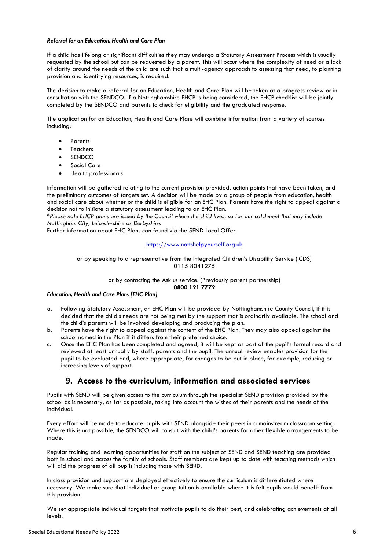#### *Referral for an Education, Health and Care Plan*

If a child has lifelong or significant difficulties they may undergo a Statutory Assessment Process which is usually requested by the school but can be requested by a parent. This will occur where the complexity of need or a lack of clarity around the needs of the child are such that a multi-agency approach to assessing that need, to planning provision and identifying resources, is required.

The decision to make a referral for an Education, Health and Care Plan will be taken at a progress review or in consultation with the SENDCO. If a Nottinghamshire EHCP is being considered, the EHCP checklist will be jointly completed by the SENDCO and parents to check for eligibility and the graduated response.

The application for an Education, Health and Care Plans will combine information from a variety of sources including:

- Parents
- Teachers
- **SENDCO**
- **•** Social Care
- Health professionals

Information will be gathered relating to the current provision provided, action points that have been taken, and the preliminary outcomes of targets set. A decision will be made by a group of people from education, health and social care about whether or the child is eligible for an EHC Plan. Parents have the right to appeal against a decision not to initiate a statutory assessment leading to an EHC Plan.

*\*Please note EHCP plans are issued by the Council where the child lives, so for our catchment that may include Nottingham City, Leicestershire or Derbyshire.* 

Further information about EHC Plans can found via the SEND Local Offer:

[https://www.nottshelpyourself.org.uk](https://www.nottshelpyourself.org.uk/)

or by speaking to a representative from the Integrated Children's Disability Service (ICDS) 0115 8041275

> or by contacting the Ask us service. (Previously parent partnership) **0800 121 7772**

#### *Education, Health and Care Plans [EHC Plan]*

- a. Following Statutory Assessment, an EHC Plan will be provided by Nottinghamshire County Council, if it is decided that the child's needs are not being met by the support that is ordinarily available. The school and the child's parents will be involved developing and producing the plan.
- b. Parents have the right to appeal against the content of the EHC Plan. They may also appeal against the school named in the Plan if it differs from their preferred choice.
- c. Once the EHC Plan has been completed and agreed, it will be kept as part of the pupil's formal record and reviewed at least annually by staff, parents and the pupil. The annual review enables provision for the pupil to be evaluated and, where appropriate, for changes to be put in place, for example, reducing or increasing levels of support.

### **9. Access to the curriculum, information and associated services**

Pupils with SEND will be given access to the curriculum through the specialist SEND provision provided by the school as is necessary, as far as possible, taking into account the wishes of their parents and the needs of the individual.

Every effort will be made to educate pupils with SEND alongside their peers in a mainstream classroom setting. Where this is not possible, the SENDCO will consult with the child's parents for other flexible arrangements to be made.

Regular training and learning opportunities for staff on the subject of SEND and SEND teaching are provided both in school and across the family of schools. Staff members are kept up to date with teaching methods which will aid the progress of all pupils including those with SEND.

In class provision and support are deployed effectively to ensure the curriculum is differentiated where necessary. We make sure that individual or group tuition is available where it is felt pupils would benefit from this provision.

We set appropriate individual targets that motivate pupils to do their best, and celebrating achievements at all levels.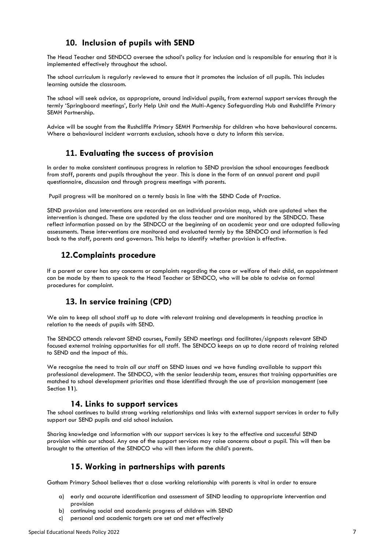# **10. Inclusion of pupils with SEND**

The Head Teacher and SENDCO oversee the school's policy for inclusion and is responsible for ensuring that it is implemented effectively throughout the school.

The school curriculum is regularly reviewed to ensure that it promotes the inclusion of all pupils. This includes learning outside the classroom.

The school will seek advice, as appropriate, around individual pupils, from external support services through the termly 'Springboard meetings', Early Help Unit and the Multi-Agency Safeguarding Hub and Rushcliffe Primary SEMH Partnership.

Advice will be sought from the Rushcliffe Primary SEMH Partnership for children who have behavioural concerns. Where a behavioural incident warrants exclusion, schools have a duty to inform this service.

### **11. Evaluating the success of provision**

In order to make consistent continuous progress in relation to SEND provision the school encourages feedback from staff, parents and pupils throughout the year. This is done in the form of an annual parent and pupil questionnaire, discussion and through progress meetings with parents.

Pupil progress will be monitored on a termly basis in line with the SEND Code of Practice.

SEND provision and interventions are recorded on an individual provision map, which are updated when the intervention is changed. These are updated by the class teacher and are monitored by the SENDCO. These reflect information passed on by the SENDCO at the beginning of an academic year and are adapted following assessments. These interventions are monitored and evaluated termly by the SENDCO and information is fed back to the staff, parents and governors. This helps to identify whether provision is effective.

### **12.Complaints procedure**

If a parent or carer has any concerns or complaints regarding the care or welfare of their child, an appointment can be made by them to speak to the Head Teacher or SENDCO, who will be able to advise on formal procedures for complaint.

# **13. In service training (CPD)**

We aim to keep all school staff up to date with relevant training and developments in teaching practice in relation to the needs of pupils with SEND.

The SENDCO attends relevant SEND courses, Family SEND meetings and facilitates/signposts relevant SEND focused external training opportunities for all staff. The SENDCO keeps an up to date record of training related to SEND and the impact of this.

We recognise the need to train *all* our staff on SEND issues and we have funding available to support this professional development. The SENDCO, with the senior leadership team, ensures that training opportunities are matched to school development priorities and those identified through the use of provision management (see Section **11**).

### **14. Links to support services**

The school continues to build strong working relationships and links with external support services in order to fully support our SEND pupils and aid school inclusion.

Sharing knowledge and information with our support services is key to the effective and successful SEND provision within our school. Any one of the support services may raise concerns about a pupil. This will then be brought to the attention of the SENDCO who will then inform the child's parents.

# **15. Working in partnerships with parents**

Gotham Primary School believes that a close working relationship with parents is vital in order to ensure

- a) early and accurate identification and assessment of SEND leading to appropriate intervention and provision
- b) continuing social and academic progress of children with SEND
- c) personal and academic targets are set and met effectively